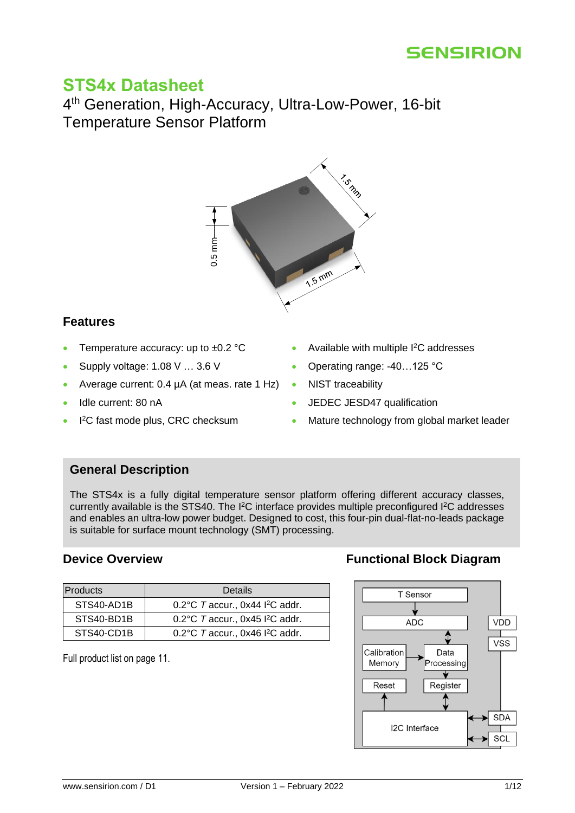# **STS4x Datasheet**

4<sup>th</sup> Generation, High-Accuracy, Ultra-Low-Power, 16-bit Temperature Sensor Platform



### <span id="page-0-0"></span>**Features**

- Temperature accuracy: up to ±0.2 °C
- Supply voltage: 1.08 V … 3.6 V
- Average current: 0.4 µA (at meas. rate 1 Hz)
- Idle current: 80 nA
- I<sup>2</sup>C fast mode plus, CRC checksum
- Available with multiple I<sup>2</sup>C addresses
- Operating range: -40…125 °C
- NIST traceability
- JEDEC JESD47 qualification
- Mature technology from global market leader

### <span id="page-0-1"></span>**General Description**

The STS4x is a fully digital temperature sensor platform offering different accuracy classes, currently available is the STS40. The I<sup>2</sup>C interface provides multiple preconfigured I<sup>2</sup>C addresses and enables an ultra-low power budget. Designed to cost, this four-pin dual-flat-no-leads package is suitable for surface mount technology (SMT) processing.

|                                  | $0.5 \text{ mm}$                                                                                                                                                                                                                                           |  | 1.5m       |  |
|----------------------------------|------------------------------------------------------------------------------------------------------------------------------------------------------------------------------------------------------------------------------------------------------------|--|------------|--|
| <b>Features</b>                  |                                                                                                                                                                                                                                                            |  |            |  |
|                                  | Temperature accuracy: up to $\pm 0.2$ °C                                                                                                                                                                                                                   |  | Ava        |  |
| $\bullet$                        | Supply voltage: 1.08 V  3.6 V                                                                                                                                                                                                                              |  | Ope        |  |
| $\bullet$                        | Average current: 0.4 µA (at meas. rate 1 Hz)                                                                                                                                                                                                               |  | <b>NIS</b> |  |
| Idle current: 80 nA<br>$\bullet$ |                                                                                                                                                                                                                                                            |  | JED        |  |
|                                  | I <sup>2</sup> C fast mode plus, CRC checksum<br>Mat                                                                                                                                                                                                       |  |            |  |
| <b>General Description</b>       | The STS4x is a fully digital temperature sensor platfo<br>currently available is the STS40. The I <sup>2</sup> C interface provide<br>and enables an ultra-low power budget. Designed to cost.<br>is suitable for surface mount technology (SMT) processin |  |            |  |
| <b>Device Overview</b>           |                                                                                                                                                                                                                                                            |  |            |  |
| <b>Products</b>                  | <b>Details</b>                                                                                                                                                                                                                                             |  |            |  |
| STS40-AD1B                       | 0.2°C Taccur., 0x44 l <sup>2</sup> C addr.                                                                                                                                                                                                                 |  |            |  |
| STS40-BD1B                       | 0.2°C Taccur., 0x45 l <sup>2</sup> C addr.                                                                                                                                                                                                                 |  |            |  |
| STS40-CD1B                       | 0.2°C T accur., 0x46 l <sup>2</sup> C addr.                                                                                                                                                                                                                |  |            |  |
| Full product list on page 11.    |                                                                                                                                                                                                                                                            |  |            |  |

### <span id="page-0-2"></span>**[Device Overview](#page-10-0) <b>Functional Block Diagram**

<span id="page-0-3"></span>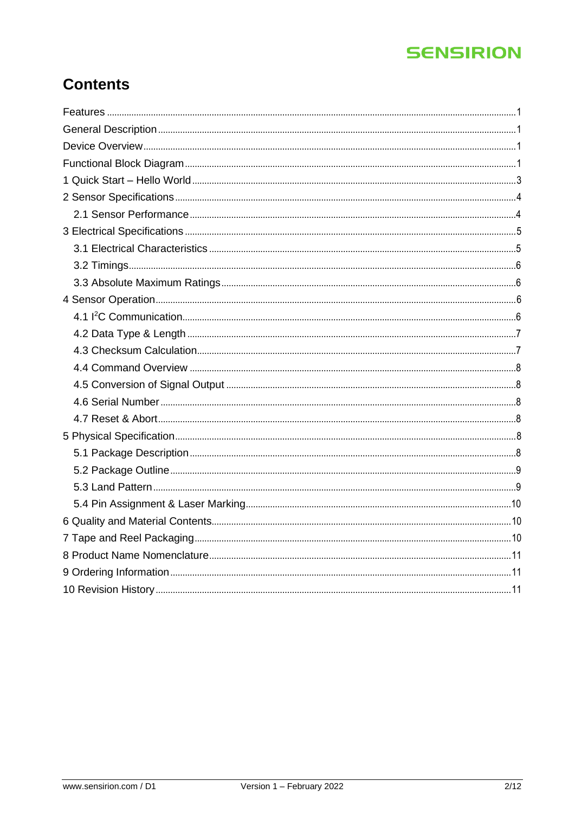# **Contents**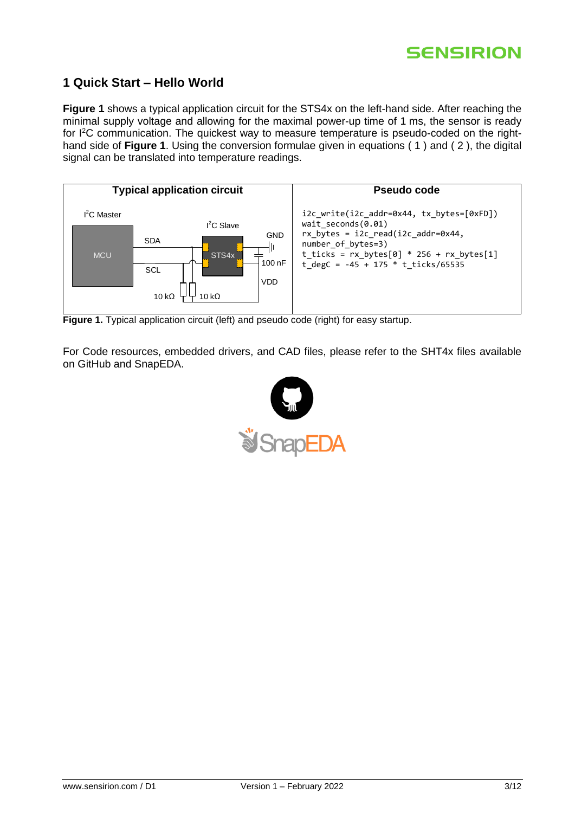

### <span id="page-2-0"></span>**1 Quick Start – Hello World**

**[Figure](#page-2-1) 1** shows a typical application circuit for the STS4x on the left-hand side. After reaching the minimal supply voltage and allowing for the maximal power-up time of 1 ms, the sensor is ready for I 2C communication. The quickest way to measure temperature is pseudo-coded on the righthand side of **[Figure](#page-2-1) 1**. Using the conversion formulae given in equations ( 1 ) and ( 2 ), the digital signal can be translated into temperature readings.



<span id="page-2-1"></span>**Figure 1.** Typical application circuit (left) and pseudo code (right) for easy startup.

For Code resources, embedded drivers, and CAD files, please refer to the SHT4x files available on GitHub and SnapEDA.

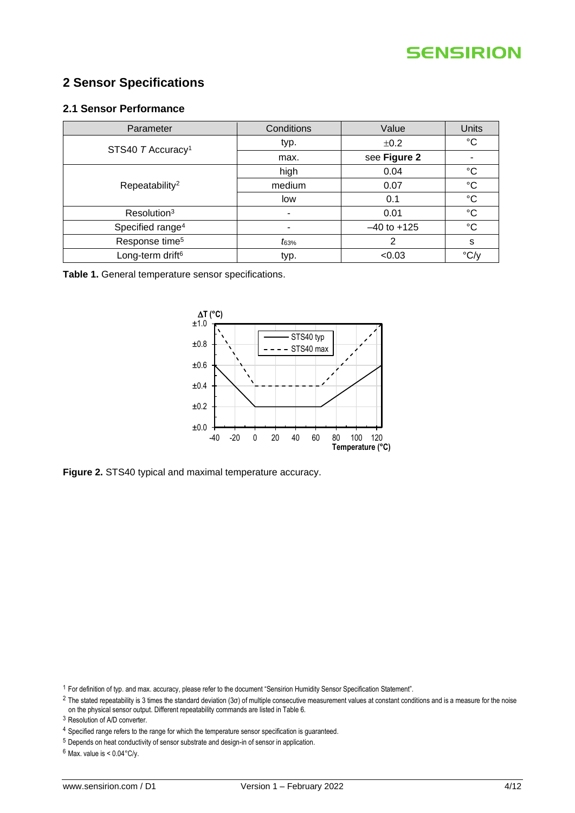

## <span id="page-3-0"></span>**2 Sensor Specifications**

#### <span id="page-3-1"></span>**2.1 Sensor Performance**

| Parameter                     | Conditions               | Value           | <b>Units</b>              |
|-------------------------------|--------------------------|-----------------|---------------------------|
| STS40 T Accuracy <sup>1</sup> | typ.                     | ±0.2            | $^{\circ}C$               |
|                               | max.                     | see Figure 2    |                           |
|                               | high                     | 0.04            | °C                        |
| Repeatability <sup>2</sup>    | medium                   | 0.07            | $^{\circ}C$               |
|                               | low                      | 0.1             | $^{\circ}C$               |
| Resolution <sup>3</sup>       | $\overline{\phantom{0}}$ | 0.01            | $^{\circ}C$               |
| Specified range <sup>4</sup>  | ۰                        | $-40$ to $+125$ | $^{\circ}C$               |
| Response time <sup>5</sup>    | $t_{63\%}$               | 2               | s                         |
| Long-term drift <sup>6</sup>  | typ.                     | < 0.03          | $\rm{^{\circ}C/_{\circ}}$ |

**Table 1.** General temperature sensor specifications.



<span id="page-3-2"></span>**Figure 2.** STS40 typical and maximal temperature accuracy.

<sup>1</sup> For definition of typ. and max. accuracy, please refer to the document "Sensirion Humidity Sensor Specification Statement".

 $2$  The stated repeatability is 3 times the standard deviation (3 $\sigma$ ) of multiple consecutive measurement values at constant conditions and is a measure for the noise on the physical sensor output. Different repeatability commands are listed i[n Table 6.](#page-7-6)

 $6$  Max. value is <  $0.04$ °C/y.

<sup>3</sup> Resolution of A/D converter.

<sup>&</sup>lt;sup>4</sup> Specified range refers to the range for which the temperature sensor specification is guaranteed.

<sup>5</sup> Depends on heat conductivity of sensor substrate and design-in of sensor in application.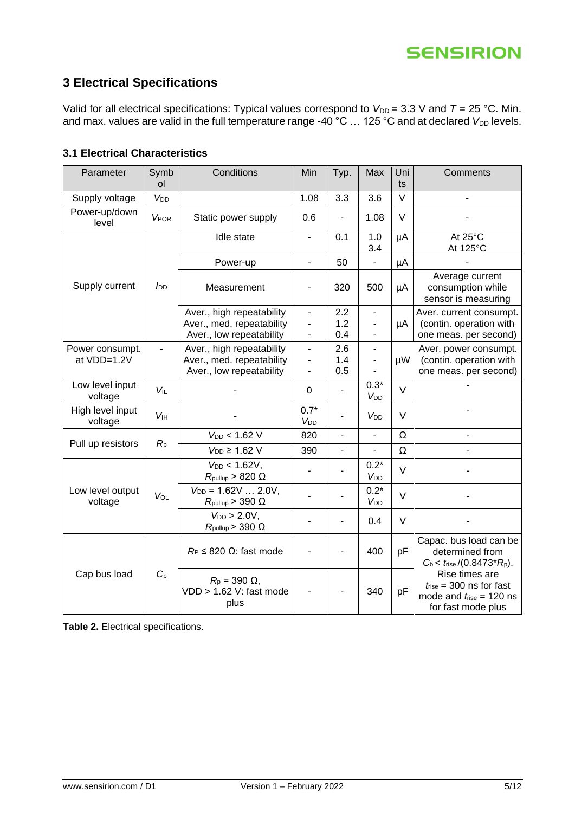# <span id="page-4-0"></span>**3 Electrical Specifications**

Valid for all electrical specifications: Typical values correspond to  $V_{DD} = 3.3$  V and  $T = 25$  °C. Min. and max. values are valid in the full temperature range -40 °C ... 125 °C and at declared *V*<sub>DD</sub> levels.

#### <span id="page-4-1"></span>**3.1 Electrical Characteristics**

| Parameter                      | Symb<br><sub>ol</sub>    | Conditions                                                                         | Min                                                      | Typ.                     | Max                                        | Uni<br>ts | Comments                                                                                                    |
|--------------------------------|--------------------------|------------------------------------------------------------------------------------|----------------------------------------------------------|--------------------------|--------------------------------------------|-----------|-------------------------------------------------------------------------------------------------------------|
| Supply voltage                 | V <sub>DD</sub>          |                                                                                    | 1.08                                                     | 3.3                      | 3.6                                        | $\vee$    |                                                                                                             |
| Power-up/down<br>level         | <b>VPOR</b>              | Static power supply                                                                | 0.6                                                      |                          | 1.08                                       | V         |                                                                                                             |
|                                |                          | Idle state                                                                         | $\blacksquare$                                           | 0.1                      | 1.0<br>3.4                                 | μA        | At 25°C<br>At 125°C                                                                                         |
|                                |                          | Power-up                                                                           | $\blacksquare$                                           | 50                       | $\overline{\phantom{a}}$                   | μA        |                                                                                                             |
| Supply current                 | <b>J</b> <sub>DD</sub>   | Measurement                                                                        | ٠                                                        | 320                      | 500                                        | μA        | Average current<br>consumption while<br>sensor is measuring                                                 |
|                                |                          | Aver., high repeatability<br>Aver., med. repeatability<br>Aver., low repeatability | $\overline{\phantom{0}}$<br>$\qquad \qquad \blacksquare$ | 2.2<br>1.2<br>0.4        | $\overline{\phantom{a}}$<br>$\blacksquare$ | μA        | Aver. current consumpt.<br>(contin. operation with<br>one meas. per second)                                 |
| Power consumpt.<br>at VDD=1.2V | $\overline{\phantom{0}}$ | Aver., high repeatability<br>Aver., med. repeatability<br>Aver., low repeatability | $\overline{\phantom{0}}$<br>$\blacksquare$               | 2.6<br>1.4<br>0.5        | $\blacksquare$                             | μW        | Aver. power consumpt.<br>(contin. operation with<br>one meas. per second)                                   |
| Low level input<br>voltage     | <b>VIL</b>               |                                                                                    | 0                                                        | ä,                       | $0.3*$<br>V <sub>DD</sub>                  | $\vee$    |                                                                                                             |
| High level input<br>voltage    | <b>V<sub>IH</sub></b>    |                                                                                    | $0.7*$<br><b>V<sub>DD</sub></b>                          | ÷,                       | V <sub>DD</sub>                            | $\vee$    |                                                                                                             |
| Pull up resistors              | $R_{p}$                  | $V_{DD}$ < 1.62 V                                                                  | 820                                                      | $\overline{a}$           | ۰                                          | Ω         |                                                                                                             |
|                                |                          | $V_{DD} \geq 1.62$ V                                                               | 390                                                      | $\overline{\phantom{a}}$ | $\blacksquare$                             | Ω         |                                                                                                             |
|                                | VOL                      | $V_{DD}$ < 1.62V,<br>$R_{\text{pullup}} > 820 \Omega$                              |                                                          |                          | $0.2*$<br>V <sub>DD</sub>                  | $\vee$    |                                                                                                             |
| Low level output<br>voltage    |                          | $V_{DD} = 1.62V  2.0V,$<br>$R_{\text{pullup}} > 390 \Omega$                        |                                                          |                          | $0.2*$<br>V <sub>DD</sub>                  | $\vee$    |                                                                                                             |
|                                |                          | $V_{DD}$ > 2.0V,<br>$R_{\text{pullup}}$ > 390 $\Omega$                             |                                                          |                          | 0.4                                        | $\vee$    |                                                                                                             |
|                                |                          | $R_P \leq 820 \Omega$ : fast mode                                                  |                                                          | ÷                        | 400                                        | pF        | Capac. bus load can be<br>determined from<br>$C_b < t_{rise} / (0.8473 \cdot R_p).$                         |
| Cap bus load                   | $C_{b}$                  | $R_p = 390 \Omega$ ,<br>$VDD > 1.62$ V: fast mode<br>plus                          |                                                          |                          | 340                                        | pF        | Rise times are<br>$t_{\text{rise}}$ = 300 ns for fast<br>mode and $t_{rise} = 120$ ns<br>for fast mode plus |

**Table 2.** Electrical specifications.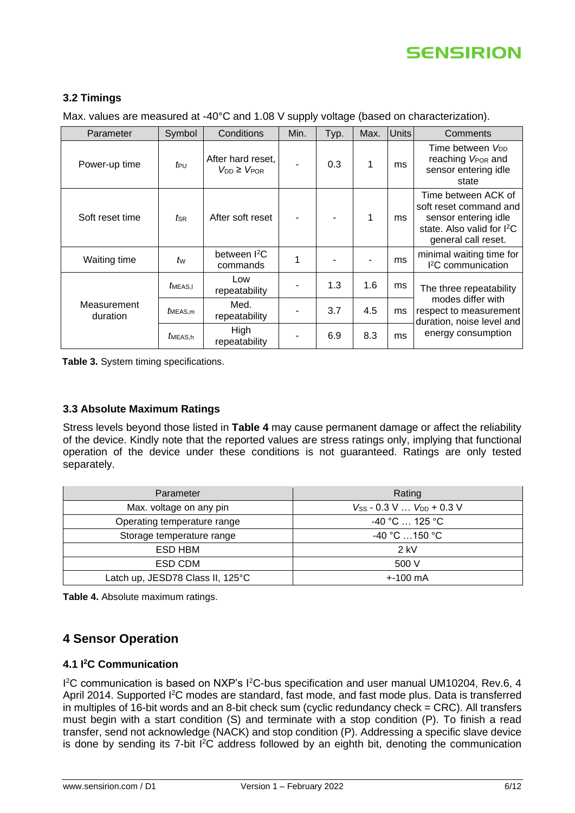#### <span id="page-5-0"></span>**3.2 Timings**

Max. values are measured at -40°C and 1.08 V supply voltage (based on characterization).

| Parameter               | Symbol       | Conditions                                 | Min. | Typ. | Max. | <b>Units</b> | Comments                                                                                                                               |
|-------------------------|--------------|--------------------------------------------|------|------|------|--------------|----------------------------------------------------------------------------------------------------------------------------------------|
| Power-up time           | $t_{\rm PU}$ | After hard reset,<br>$V_{DD} \geq V_{POR}$ |      | 0.3  | 1    | ms           | Time between V <sub>DD</sub><br>reaching V <sub>POR</sub> and<br>sensor entering idle<br>state                                         |
| Soft reset time         | tsr          | After soft reset                           |      |      | 1    | ms           | Time between ACK of<br>soft reset command and<br>sensor entering idle<br>state. Also valid for I <sup>2</sup> C<br>general call reset. |
| Waiting time            | tw           | between <sup>2</sup> C<br>commands         | 1    |      |      | ms           | minimal waiting time for<br><sup>2</sup> C communication                                                                               |
|                         | MEAS,I       | Low<br>repeatability                       | ۰    | 1.3  | 1.6  | ms           | The three repeatability                                                                                                                |
| Measurement<br>duration | MEAS.m       | Med.<br>repeatability                      |      | 3.7  | 4.5  | ms           | modes differ with<br>respect to measurement<br>duration, noise level and                                                               |
|                         | MEAS.h       | High<br>repeatability                      |      | 6.9  | 8.3  | ms           | energy consumption                                                                                                                     |

**Table 3.** System timing specifications.

#### <span id="page-5-1"></span>**3.3 Absolute Maximum Ratings**

Stress levels beyond those listed in **[Table 4](#page-5-4)** may cause permanent damage or affect the reliability of the device. Kindly note that the reported values are stress ratings only, implying that functional operation of the device under these conditions is not guaranteed. Ratings are only tested separately.

| Parameter                        | Rating                                           |
|----------------------------------|--------------------------------------------------|
| Max. voltage on any pin          | $V_{SS}$ - 0.3 V $V_{DD}$ + 0.3 V                |
| Operating temperature range      | $-40\degree$ C  125 $\degree$ C                  |
| Storage temperature range        | $-40\degree$ C $\dots$ 150 $\degree$ C $\degree$ |
| ESD HBM                          | $2$ kV                                           |
| ESD CDM                          | 500 V                                            |
| Latch up, JESD78 Class II, 125°C | $+100 \text{ mA}$                                |

<span id="page-5-4"></span>**Table 4.** Absolute maximum ratings.

### <span id="page-5-2"></span>**4 Sensor Operation**

#### <span id="page-5-3"></span>**4.1 I <sup>2</sup>C Communication**

1<sup>2</sup>C communication is based on NXP's <sup>12</sup>C-bus specification and user manual UM10204, Rev.6, 4 April 2014. Supported I<sup>2</sup>C modes are standard, fast mode, and fast mode plus. Data is transferred in multiples of 16-bit words and an 8-bit check sum (cyclic redundancy check = CRC). All transfers must begin with a start condition (S) and terminate with a stop condition (P). To finish a read transfer, send not acknowledge (NACK) and stop condition (P). Addressing a specific slave device is done by sending its  $7$ -bit  $1^2C$  address followed by an eighth bit, denoting the communication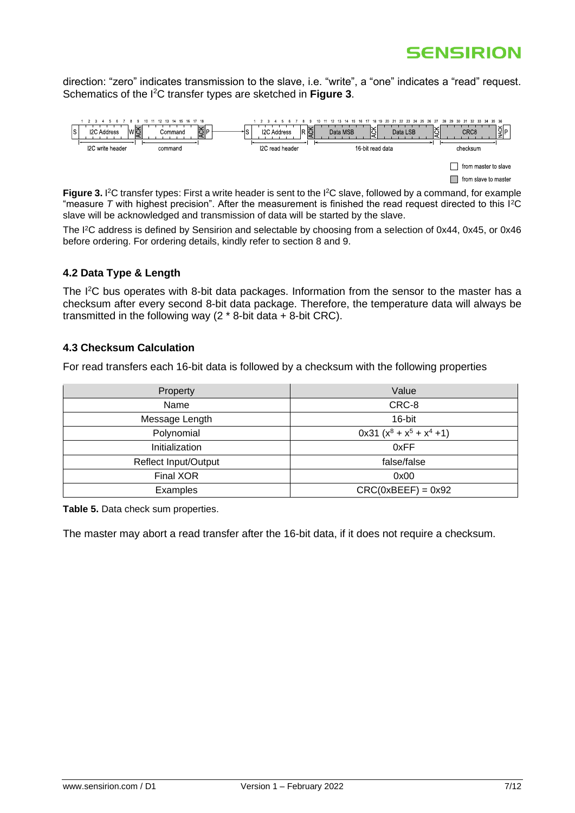direction: "zero" indicates transmission to the slave, i.e. "write", a "one" indicates a "read" request. Schematics of the I<sup>2</sup>C transfer types are sketched in **[Figure 3](#page-6-2)**.



<span id="page-6-2"></span>**Figure 3.** I<sup>2</sup>C transfer types: First a write header is sent to the I<sup>2</sup>C slave, followed by a command, for example "measure *T* with highest precision". After the measurement is finished the read request directed to this I<sup>2</sup>C slave will be acknowledged and transmission of data will be started by the slave.

The I<sup>2</sup>C address is defined by Sensirion and selectable by choosing from a selection of 0x44, 0x45, or 0x46 before ordering. For ordering details, kindly refer to section 8 and 9.

#### <span id="page-6-0"></span>**4.2 Data Type & Length**

The I<sup>2</sup>C bus operates with 8-bit data packages. Information from the sensor to the master has a checksum after every second 8-bit data package. Therefore, the temperature data will always be transmitted in the following way  $(2 * 8$ -bit data  $+ 8$ -bit CRC).

#### <span id="page-6-1"></span>**4.3 Checksum Calculation**

For read transfers each 16-bit data is followed by a checksum with the following properties

| Property                    | Value                        |
|-----------------------------|------------------------------|
| Name                        | CRC-8                        |
| Message Length              | 16-bit                       |
| Polynomial                  | $0x31 (x^8 + x^5 + x^4 + 1)$ |
| Initialization              | 0xFF                         |
| <b>Reflect Input/Output</b> | false/false                  |
| Final XOR                   | 0x00                         |
| Examples                    | $CRC(0xBEEF) = 0x92$         |

**Table 5.** Data check sum properties.

The master may abort a read transfer after the 16-bit data, if it does not require a checksum.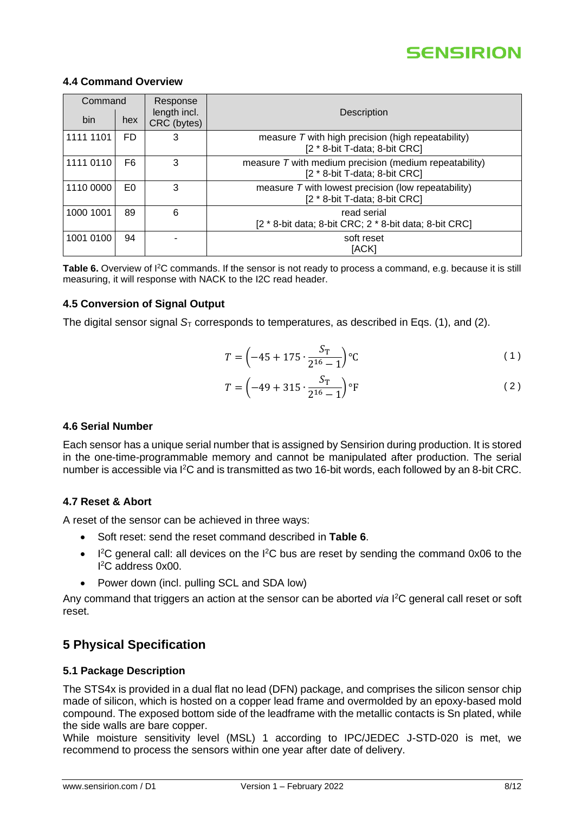

#### <span id="page-7-0"></span>**4.4 Command Overview**

| Command   |                | Response                    |                                                                                         |
|-----------|----------------|-----------------------------|-----------------------------------------------------------------------------------------|
| bin       | hex            | length incl.<br>CRC (bytes) | Description                                                                             |
| 1111 1101 | FD.            | 3                           | measure $T$ with high precision (high repeatability)<br>[2 * 8-bit T-data; 8-bit CRC]   |
| 1111 0110 | F6             | 3                           | measure T with medium precision (medium repeatability)<br>[2 * 8-bit T-data; 8-bit CRC] |
| 1110 0000 | E <sub>0</sub> | 3                           | measure $T$ with lowest precision (low repeatability)<br>[2 * 8-bit T-data; 8-bit CRC]  |
| 1000 1001 | 89             | 6                           | read serial<br>[2 * 8-bit data; 8-bit CRC; 2 * 8-bit data; 8-bit CRC]                   |
| 1001 0100 | 94             |                             | soft reset<br>[ACK]                                                                     |

<span id="page-7-6"></span>Table 6. Overview of I<sup>2</sup>C commands. If the sensor is not ready to process a command, e.g. because it is still measuring, it will response with NACK to the I2C read header.

#### <span id="page-7-1"></span>**4.5 Conversion of Signal Output**

The digital sensor signal  $S_T$  corresponds to temperatures, as described in Eqs. (1), and (2).

$$
T = \left(-45 + 175 \cdot \frac{S_T}{2^{16} - 1}\right) \circ C \tag{1}
$$

$$
T = \left(-49 + 315 \cdot \frac{S_T}{2^{16} - 1}\right) \circ F\tag{2}
$$

#### <span id="page-7-2"></span>**4.6 Serial Number**

Each sensor has a unique serial number that is assigned by Sensirion during production. It is stored in the one-time-programmable memory and cannot be manipulated after production. The serial number is accessible via I<sup>2</sup>C and is transmitted as two 16-bit words, each followed by an 8-bit CRC.

#### <span id="page-7-3"></span>**4.7 Reset & Abort**

A reset of the sensor can be achieved in three ways:

- Soft reset: send the reset command described in **[Table 6](#page-7-6)**.
- $\bullet$  I<sup>2</sup>C general call: all devices on the I<sup>2</sup>C bus are reset by sending the command 0x06 to the I <sup>2</sup>C address 0x00.
- Power down (incl. pulling SCL and SDA low)

Any command that triggers an action at the sensor can be aborted *via* I <sup>2</sup>C general call reset or soft reset.

### <span id="page-7-4"></span>**5 Physical Specification**

#### <span id="page-7-5"></span>**5.1 Package Description**

The STS4x is provided in a dual flat no lead (DFN) package, and comprises the silicon sensor chip made of silicon, which is hosted on a copper lead frame and overmolded by an epoxy-based mold compound. The exposed bottom side of the leadframe with the metallic contacts is Sn plated, while the side walls are bare copper.

While moisture sensitivity level (MSL) 1 according to IPC/JEDEC J-STD-020 is met, we recommend to process the sensors within one year after date of delivery.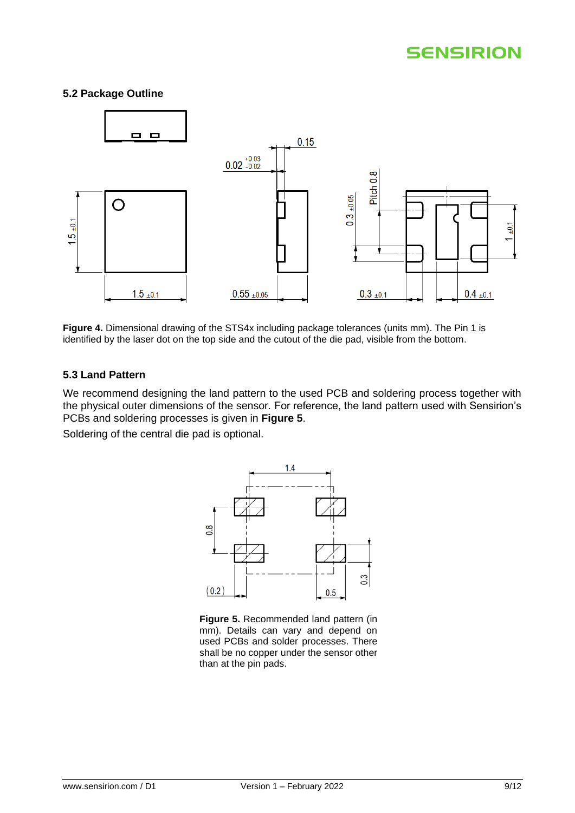#### <span id="page-8-0"></span>**5.2 Package Outline**



**Figure 4.** Dimensional drawing of the STS4x including package tolerances (units mm). The Pin 1 is identified by the laser dot on the top side and the cutout of the die pad, visible from the bottom.

#### <span id="page-8-1"></span>**5.3 Land Pattern**

We recommend designing the land pattern to the used PCB and soldering process together with the physical outer dimensions of the sensor. For reference, the land pattern used with Sensirion's PCBs and soldering processes is given in **[Figure 5](#page-8-2)**.

Soldering of the central die pad is optional.



<span id="page-8-2"></span>**Figure 5.** Recommended land pattern (in mm). Details can vary and depend on used PCBs and solder processes. There shall be no copper under the sensor other than at the pin pads.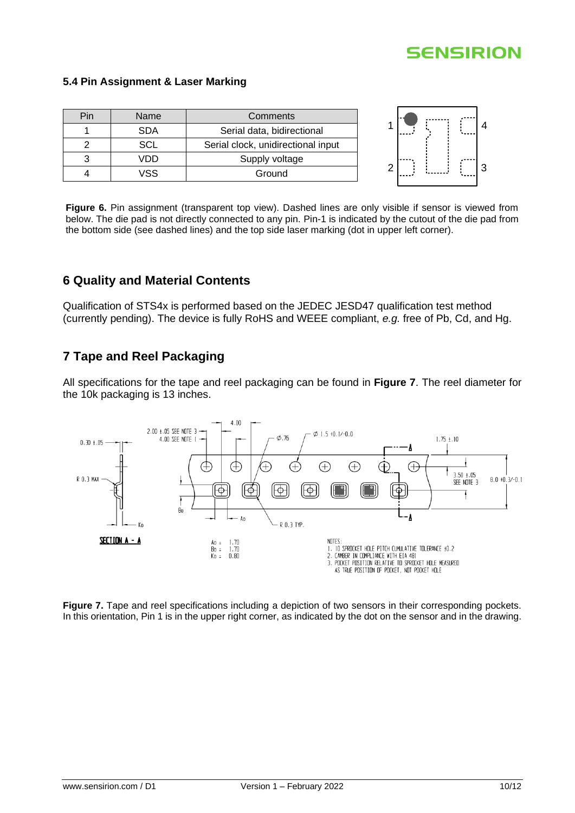#### <span id="page-9-0"></span>**5.4 Pin Assignment & Laser Marking**

| Pin | Name       | Comments                           | .      |
|-----|------------|------------------------------------|--------|
|     | <b>SDA</b> | Serial data, bidirectional         | .<br>. |
|     | SCL        | Serial clock, unidirectional input |        |
|     | √DD        | Supply voltage                     |        |
|     | VSS        | Ground                             |        |

**Figure 6.** Pin assignment (transparent top view). Dashed lines are only visible if sensor is viewed from below. The die pad is not directly connected to any pin. Pin-1 is indicated by the cutout of the die pad from the bottom side (see dashed lines) and the top side laser marking (dot in upper left corner).

### <span id="page-9-1"></span>**6 Quality and Material Contents**

Qualification of STS4x is performed based on the JEDEC JESD47 qualification test method (currently pending). The device is fully RoHS and WEEE compliant, *e.g.* free of Pb, Cd, and Hg.

### <span id="page-9-2"></span>**7 Tape and Reel Packaging**

All specifications for the tape and reel packaging can be found in **[Figure 7](#page-9-3)**. The reel diameter for the 10k packaging is 13 inches.



<span id="page-9-3"></span>**Figure 7.** Tape and reel specifications including a depiction of two sensors in their corresponding pockets. In this orientation, Pin 1 is in the upper right corner, as indicated by the dot on the sensor and in the drawing.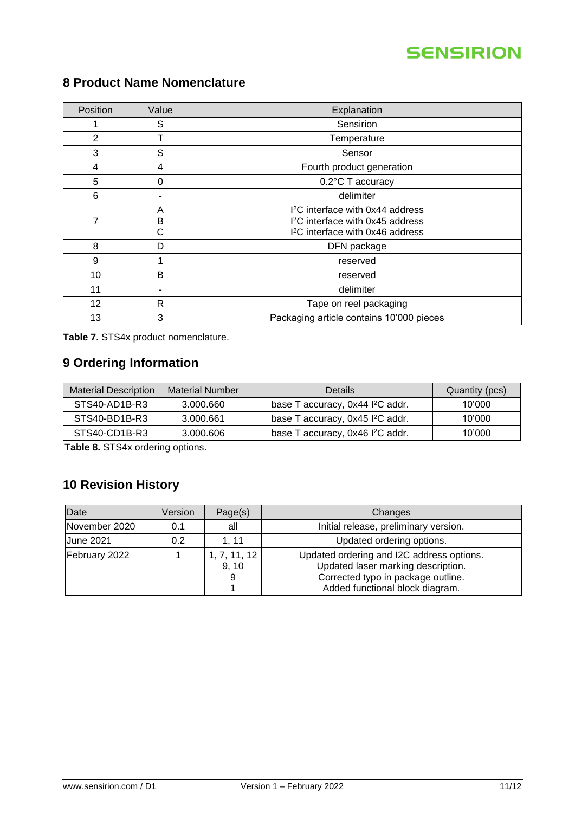| Position | Value        | Explanation                                                                                                                                  |  |  |
|----------|--------------|----------------------------------------------------------------------------------------------------------------------------------------------|--|--|
|          | S            | Sensirion                                                                                                                                    |  |  |
| 2        |              | Temperature                                                                                                                                  |  |  |
| 3        | S            | Sensor                                                                                                                                       |  |  |
| 4        | 4            | Fourth product generation                                                                                                                    |  |  |
| 5        | 0            | 0.2°C T accuracy                                                                                                                             |  |  |
| 6        |              | delimiter                                                                                                                                    |  |  |
| 7        | A<br>B<br>С  | I <sup>2</sup> C interface with 0x44 address<br>I <sup>2</sup> C interface with 0x45 address<br>I <sup>2</sup> C interface with 0x46 address |  |  |
| 8        | D            | DFN package                                                                                                                                  |  |  |
| 9        |              | reserved                                                                                                                                     |  |  |
| 10       | B            | reserved                                                                                                                                     |  |  |
| 11       |              | delimiter                                                                                                                                    |  |  |
| 12       | $\mathsf{R}$ | Tape on reel packaging                                                                                                                       |  |  |
| 13       | 3            | Packaging article contains 10'000 pieces                                                                                                     |  |  |

# <span id="page-10-0"></span>**8 Product Name Nomenclature**

**Table 7.** STS4x product nomenclature.

## <span id="page-10-2"></span>**9 Ordering Information**

| <b>Material Description</b> | <b>Material Number</b> | Details                                      | Quantity (pcs) |
|-----------------------------|------------------------|----------------------------------------------|----------------|
| STS40-AD1B-R3               | 3.000.660              | base T accuracy, 0x44 I <sup>2</sup> C addr. | 10'000         |
| STS40-BD1B-R3               | 3.000.661              | base T accuracy, 0x45 I <sup>2</sup> C addr. | 10'000         |
| STS40-CD1B-R3               | 3.000.606              | base T accuracy, 0x46 l <sup>2</sup> C addr. | 10'000         |

<span id="page-10-1"></span>**Table 8.** STS4x ordering options.

# <span id="page-10-3"></span>**10 Revision History**

| Date             | Version | Page(s)               | Changes                                                                                                                                                  |
|------------------|---------|-----------------------|----------------------------------------------------------------------------------------------------------------------------------------------------------|
| November 2020    | 0.1     | all                   | Initial release, preliminary version.                                                                                                                    |
| <b>June 2021</b> | 0.2     | 1, 11                 | Updated ordering options.                                                                                                                                |
| February 2022    |         | 1, 7, 11, 12<br>9, 10 | Updated ordering and I2C address options.<br>Updated laser marking description.<br>Corrected typo in package outline.<br>Added functional block diagram. |